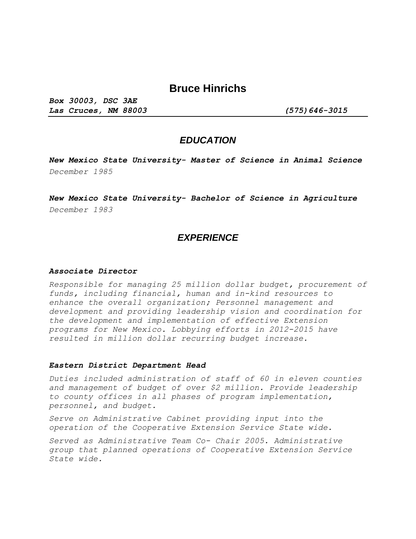# **Bruce Hinrichs**

*Box 30003, DSC 3AE Las Cruces, NM 88003 (575)646-3015*

## *EDUCATION*

*New Mexico State University- Master of Science in Animal Science December 1985* 

*New Mexico State University- Bachelor of Science in Agriculture December 1983* 

## *EXPERIENCE*

#### *Associate Director*

*Responsible for managing 25 million dollar budget, procurement of funds, including financial, human and in-kind resources to enhance the overall organization; Personnel management and development and providing leadership vision and coordination for the development and implementation of effective Extension programs for New Mexico. Lobbying efforts in 2012-2015 have resulted in million dollar recurring budget increase.* 

#### *Eastern District Department Head*

*Duties included administration of staff of 60 in eleven counties and management of budget of over \$2 million. Provide leadership to county offices in all phases of program implementation, personnel, and budget.* 

*Serve on Administrative Cabinet providing input into the operation of the Cooperative Extension Service State wide.* 

*Served as Administrative Team Co- Chair 2005. Administrative group that planned operations of Cooperative Extension Service State wide.*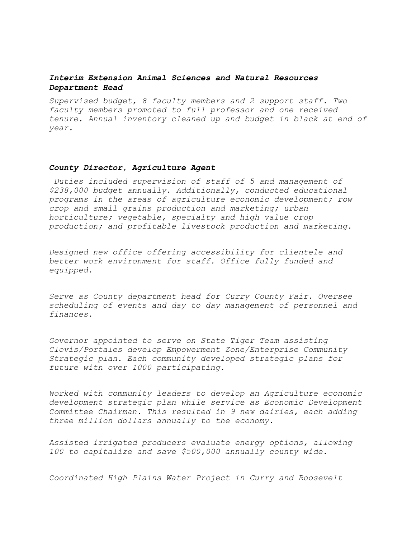### *Interim Extension Animal Sciences and Natural Resources Department Head*

*Supervised budget, 8 faculty members and 2 support staff. Two faculty members promoted to full professor and one received tenure. Annual inventory cleaned up and budget in black at end of year.* 

### *County Director, Agriculture Agent*

*Duties included supervision of staff of 5 and management of \$238,000 budget annually. Additionally, conducted educational programs in the areas of agriculture economic development; row crop and small grains production and marketing; urban horticulture; vegetable, specialty and high value crop production; and profitable livestock production and marketing.* 

*Designed new office offering accessibility for clientele and better work environment for staff. Office fully funded and equipped.* 

*Serve as County department head for Curry County Fair. Oversee scheduling of events and day to day management of personnel and finances.* 

*Governor appointed to serve on State Tiger Team assisting Clovis/Portales develop Empowerment Zone/Enterprise Community Strategic plan. Each community developed strategic plans for future with over 1000 participating.* 

*Worked with community leaders to develop an Agriculture economic development strategic plan while service as Economic Development Committee Chairman. This resulted in 9 new dairies, each adding three million dollars annually to the economy.* 

*Assisted irrigated producers evaluate energy options, allowing 100 to capitalize and save \$500,000 annually county wide.* 

*Coordinated High Plains Water Project in Curry and Roosevelt*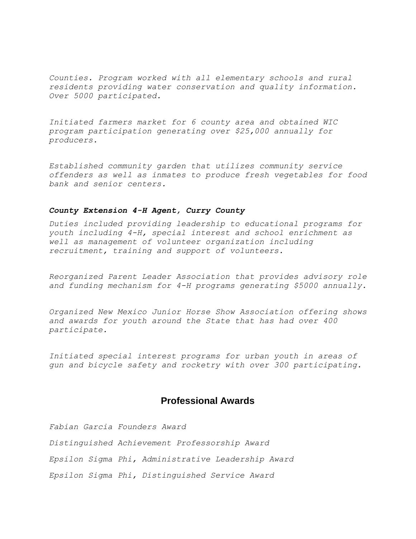*Counties. Program worked with all elementary schools and rural residents providing water conservation and quality information. Over 5000 participated.* 

*Initiated farmers market for 6 county area and obtained WIC program participation generating over \$25,000 annually for producers.* 

*Established community garden that utilizes community service offenders as well as inmates to produce fresh vegetables for food bank and senior centers.* 

### *County Extension 4-H Agent, Curry County*

*Duties included providing leadership to educational programs for youth including 4-H, special interest and school enrichment as well as management of volunteer organization including recruitment, training and support of volunteers.* 

*Reorganized Parent Leader Association that provides advisory role and funding mechanism for 4-H programs generating \$5000 annually.* 

*Organized New Mexico Junior Horse Show Association offering shows and awards for youth around the State that has had over 400 participate.* 

*Initiated special interest programs for urban youth in areas of gun and bicycle safety and rocketry with over 300 participating.* 

## **Professional Awards**

*Fabian Garcia Founders Award Distinguished Achievement Professorship Award Epsilon Sigma Phi, Administrative Leadership Award Epsilon Sigma Phi, Distinguished Service Award*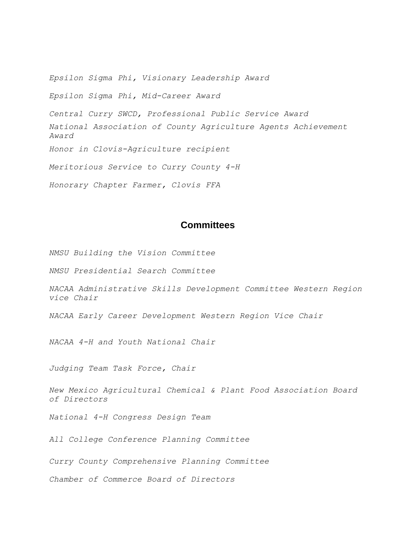*Epsilon Sigma Phi, Visionary Leadership Award* 

*Epsilon Sigma Phi, Mid-Career Award*

*Central Curry SWCD, Professional Public Service Award* 

*National Association of County Agriculture Agents Achievement Award* 

*Honor in Clovis-Agriculture recipient* 

*Meritorious Service to Curry County 4-H*

*Honorary Chapter Farmer, Clovis FFA* 

## **Committees**

*NMSU Building the Vision Committee* 

*NMSU Presidential Search Committee* 

*NACAA Administrative Skills Development Committee Western Region vice Chair* 

*NACAA Early Career Development Western Region Vice Chair* 

*NACAA 4-H and Youth National Chair* 

*Judging Team Task Force, Chair* 

*New Mexico Agricultural Chemical & Plant Food Association Board of Directors* 

*National 4-H Congress Design Team* 

*All College Conference Planning Committee* 

*Curry County Comprehensive Planning Committee* 

*Chamber of Commerce Board of Directors*